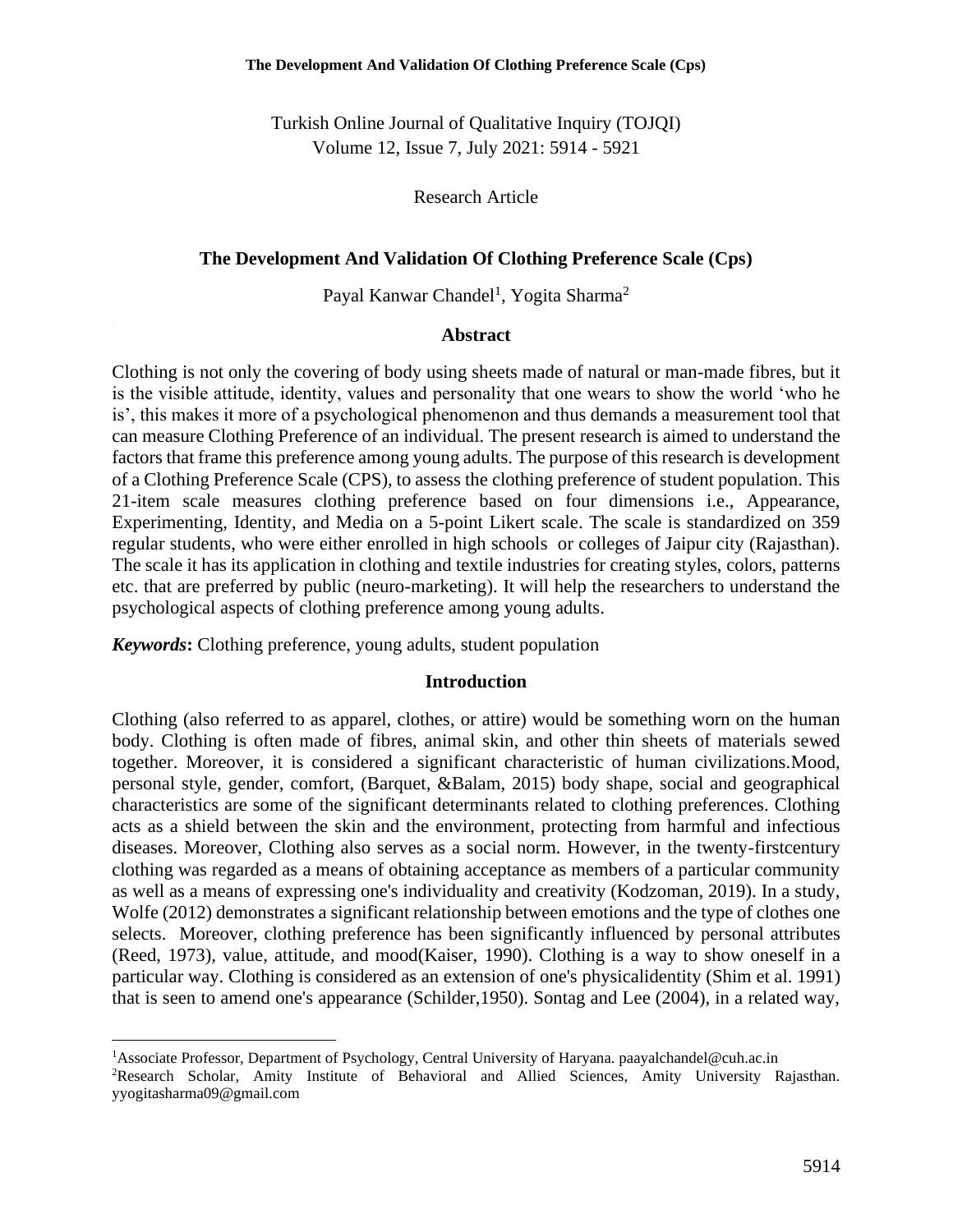Turkish Online Journal of Qualitative Inquiry (TOJQI) Volume 12, Issue 7, July 2021: 5914 - 5921

Research Article

#### **The Development And Validation Of Clothing Preference Scale (Cps)**

Payal Kanwar Chandel<sup>1</sup>, Yogita Sharma<sup>2</sup>

#### **Abstract**

Clothing is not only the covering of body using sheets made of natural or man-made fibres, but it is the visible attitude, identity, values and personality that one wears to show the world 'who he is', this makes it more of a psychological phenomenon and thus demands a measurement tool that can measure Clothing Preference of an individual. The present research is aimed to understand the factors that frame this preference among young adults. The purpose of this research is development of a Clothing Preference Scale (CPS), to assess the clothing preference of student population. This 21-item scale measures clothing preference based on four dimensions i.e., Appearance, Experimenting, Identity, and Media on a 5-point Likert scale. The scale is standardized on 359 regular students, who were either enrolled in high schools or colleges of Jaipur city (Rajasthan). The scale it has its application in clothing and textile industries for creating styles, colors, patterns etc. that are preferred by public (neuro-marketing). It will help the researchers to understand the psychological aspects of clothing preference among young adults.

*Keywords***:** Clothing preference, young adults, student population

#### **Introduction**

Clothing (also referred to as apparel, clothes, or attire) would be something worn on the human body. Clothing is often made of fibres, animal skin, and other thin sheets of materials sewed together. Moreover, it is considered a significant characteristic of human civilizations.Mood, personal style, gender, comfort, (Barquet, &Balam, 2015) body shape, social and geographical characteristics are some of the significant determinants related to clothing preferences. Clothing acts as a shield between the skin and the environment, protecting from harmful and infectious diseases. Moreover, Clothing also serves as a social norm. However, in the twenty-firstcentury clothing was regarded as a means of obtaining acceptance as members of a particular community as well as a means of expressing one's individuality and creativity (Kodzoman, 2019). In a study, Wolfe (2012) demonstrates a significant relationship between emotions and the type of clothes one selects. Moreover, clothing preference has been significantly influenced by personal attributes (Reed, 1973), value, attitude, and mood(Kaiser, 1990). Clothing is a way to show oneself in a particular way. Clothing is considered as an extension of one's physicalidentity (Shim et al. 1991) that is seen to amend one's appearance (Schilder,1950). Sontag and Lee (2004), in a related way,

<sup>1</sup>Associate Professor, Department of Psychology, Central University of Haryana. paayalchandel@cuh.ac.in

<sup>2</sup>Research Scholar, Amity Institute of Behavioral and Allied Sciences, Amity University Rajasthan. yyogitasharma09@gmail.com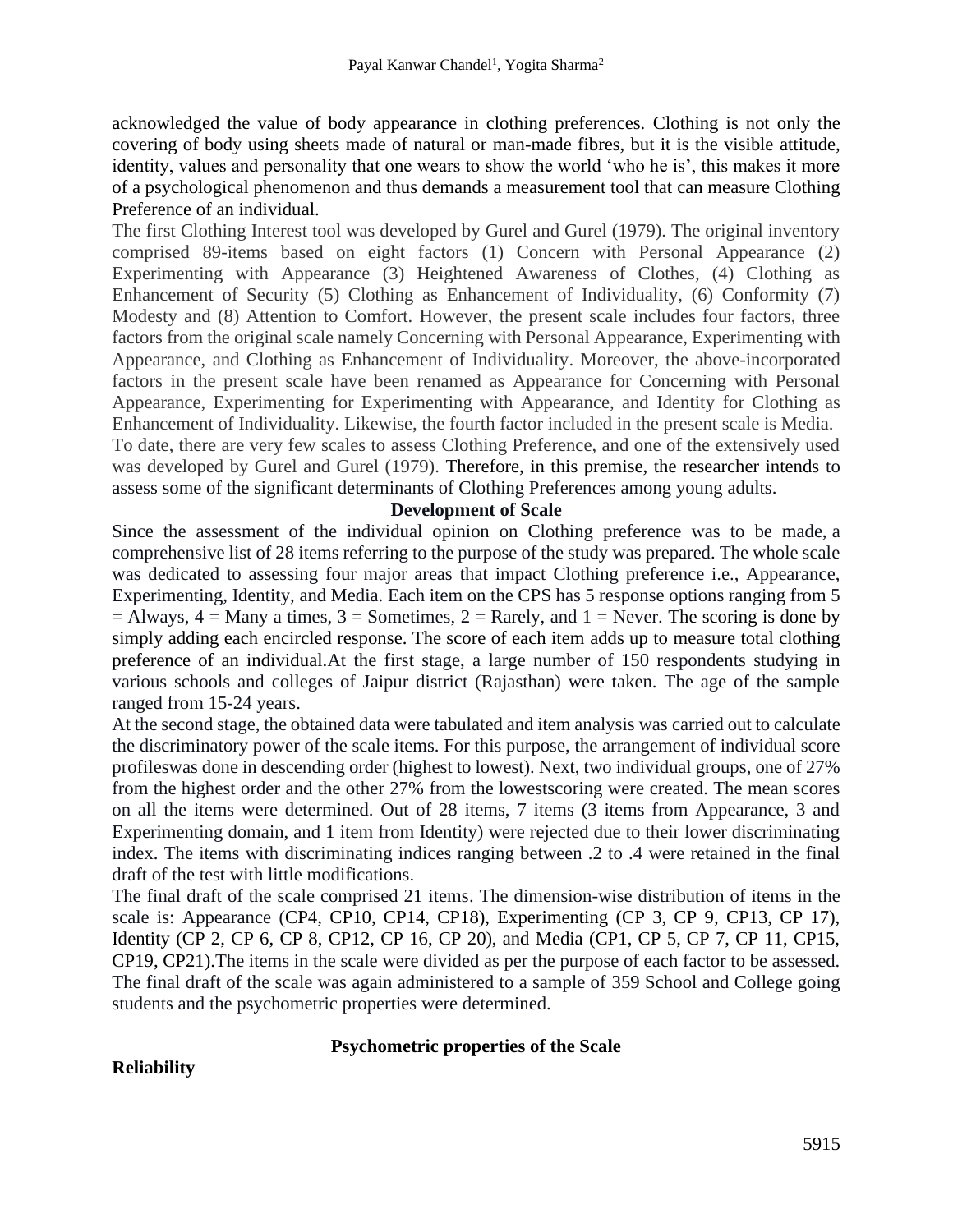acknowledged the value of body appearance in clothing preferences. Clothing is not only the covering of body using sheets made of natural or man-made fibres, but it is the visible attitude, identity, values and personality that one wears to show the world 'who he is', this makes it more of a psychological phenomenon and thus demands a measurement tool that can measure Clothing Preference of an individual.

The first Clothing Interest tool was developed by Gurel and Gurel (1979). The original inventory comprised 89-items based on eight factors (1) Concern with Personal Appearance (2) Experimenting with Appearance (3) Heightened Awareness of Clothes, (4) Clothing as Enhancement of Security (5) Clothing as Enhancement of Individuality, (6) Conformity (7) Modesty and (8) Attention to Comfort. However, the present scale includes four factors, three factors from the original scale namely Concerning with Personal Appearance, Experimenting with Appearance, and Clothing as Enhancement of Individuality. Moreover, the above-incorporated factors in the present scale have been renamed as Appearance for Concerning with Personal Appearance, Experimenting for Experimenting with Appearance, and Identity for Clothing as Enhancement of Individuality. Likewise, the fourth factor included in the present scale is Media. To date, there are very few scales to assess Clothing Preference, and one of the extensively used was developed by Gurel and Gurel (1979). Therefore, in this premise, the researcher intends to assess some of the significant determinants of Clothing Preferences among young adults.

#### **Development of Scale**

Since the assessment of the individual opinion on Clothing preference was to be made, a comprehensive list of 28 items referring to the purpose of the study was prepared. The whole scale was dedicated to assessing four major areas that impact Clothing preference i.e., Appearance, Experimenting, Identity, and Media. Each item on the CPS has 5 response options ranging from 5  $=$  Always,  $4 =$  Many a times,  $3 =$  Sometimes,  $2 =$  Rarely, and  $1 =$  Never. The scoring is done by simply adding each encircled response. The score of each item adds up to measure total clothing preference of an individual.At the first stage, a large number of 150 respondents studying in various schools and colleges of Jaipur district (Rajasthan) were taken. The age of the sample ranged from 15-24 years.

At the second stage, the obtained data were tabulated and item analysis was carried out to calculate the discriminatory power of the scale items. For this purpose, the arrangement of individual score profileswas done in descending order (highest to lowest). Next, two individual groups, one of 27% from the highest order and the other 27% from the lowestscoring were created. The mean scores on all the items were determined. Out of 28 items, 7 items (3 items from Appearance, 3 and Experimenting domain, and 1 item from Identity) were rejected due to their lower discriminating index. The items with discriminating indices ranging between .2 to .4 were retained in the final draft of the test with little modifications.

The final draft of the scale comprised 21 items. The dimension-wise distribution of items in the scale is: Appearance (CP4, CP10, CP14, CP18), Experimenting (CP 3, CP 9, CP13, CP 17), Identity (CP 2, CP 6, CP 8, CP12, CP 16, CP 20), and Media (CP1, CP 5, CP 7, CP 11, CP15, CP19, CP21).The items in the scale were divided as per the purpose of each factor to be assessed. The final draft of the scale was again administered to a sample of 359 School and College going students and the psychometric properties were determined.

#### **Psychometric properties of the Scale**

## **Reliability**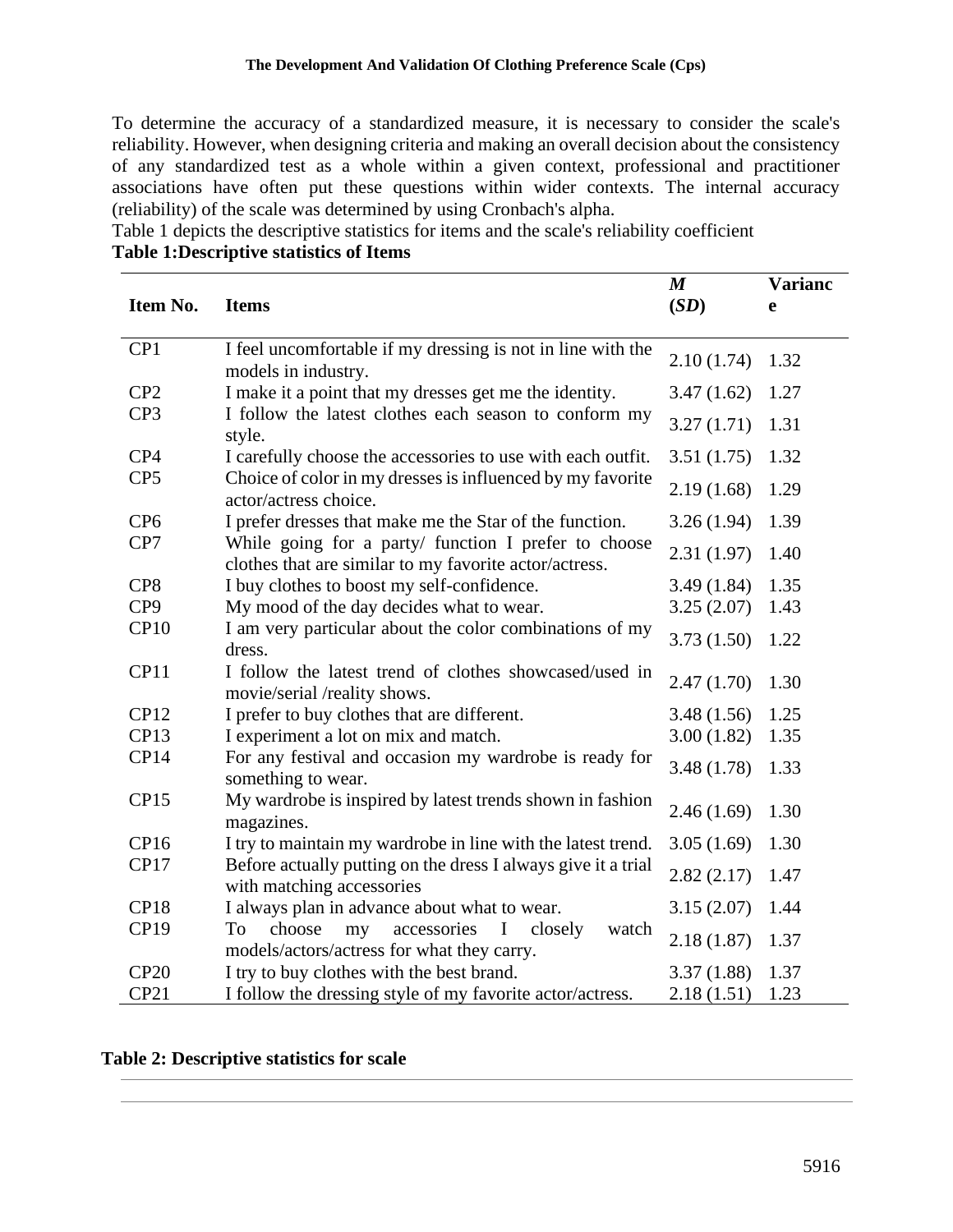To determine the accuracy of a standardized measure, it is necessary to consider the scale's reliability. However, when designing criteria and making an overall decision about the consistency of any standardized test as a whole within a given context, professional and practitioner associations have often put these questions within wider contexts. The internal accuracy (reliability) of the scale was determined by using Cronbach's alpha.

Table 1 depicts the descriptive statistics for items and the scale's reliability coefficient **Table 1:Descriptive statistics of Items**

| Item No.        | <b>Items</b>                                                                                                   | $\boldsymbol{M}$<br>(SD) | <b>Varianc</b><br>e |
|-----------------|----------------------------------------------------------------------------------------------------------------|--------------------------|---------------------|
|                 |                                                                                                                |                          |                     |
| CP1             | I feel uncomfortable if my dressing is not in line with the<br>models in industry.                             | 2.10(1.74)               | 1.32                |
| CP2             | I make it a point that my dresses get me the identity.                                                         | 3.47(1.62)               | 1.27                |
| CP3             | I follow the latest clothes each season to conform my<br>style.                                                | 3.27(1.71)               | 1.31                |
| CP4             | I carefully choose the accessories to use with each outfit.                                                    | 3.51(1.75)               | 1.32                |
| CP <sub>5</sub> | Choice of color in my dresses is influenced by my favorite<br>actor/actress choice.                            | 2.19(1.68)               | 1.29                |
| CP <sub>6</sub> | I prefer dresses that make me the Star of the function.                                                        | 3.26(1.94)               | 1.39                |
| CP7             | While going for a party/ function I prefer to choose<br>clothes that are similar to my favorite actor/actress. | 2.31(1.97)               | 1.40                |
| CP8             | I buy clothes to boost my self-confidence.                                                                     | 3.49(1.84)               | 1.35                |
| CP <sub>9</sub> | My mood of the day decides what to wear.                                                                       | 3.25(2.07)               | 1.43                |
| CP10            | I am very particular about the color combinations of my<br>dress.                                              | 3.73(1.50)               | 1.22                |
| CP11            | I follow the latest trend of clothes showcased/used in<br>movie/serial /reality shows.                         | 2.47(1.70)               | 1.30                |
| CP12            | I prefer to buy clothes that are different.                                                                    | 3.48(1.56)               | 1.25                |
| CP13            | I experiment a lot on mix and match.                                                                           | 3.00(1.82)               | 1.35                |
| CP14            | For any festival and occasion my wardrobe is ready for<br>something to wear.                                   | 3.48(1.78)               | 1.33                |
| CP15            | My wardrobe is inspired by latest trends shown in fashion<br>magazines.                                        | 2.46(1.69)               | 1.30                |
| CP16            | I try to maintain my wardrobe in line with the latest trend.                                                   | 3.05(1.69)               | 1.30                |
| CP17            | Before actually putting on the dress I always give it a trial<br>with matching accessories                     | 2.82(2.17)               | 1.47                |
| CP18            | I always plan in advance about what to wear.                                                                   | 3.15(2.07)               | 1.44                |
| <b>CP19</b>     | choose<br>my<br>accessories<br>watch<br>To<br>I<br>closely<br>models/actors/actress for what they carry.       | 2.18(1.87)               | 1.37                |
| CP20            | I try to buy clothes with the best brand.                                                                      | 3.37(1.88)               | 1.37                |
| CP21            | I follow the dressing style of my favorite actor/actress.                                                      | 2.18(1.51)               | 1.23                |

#### **Table 2: Descriptive statistics for scale**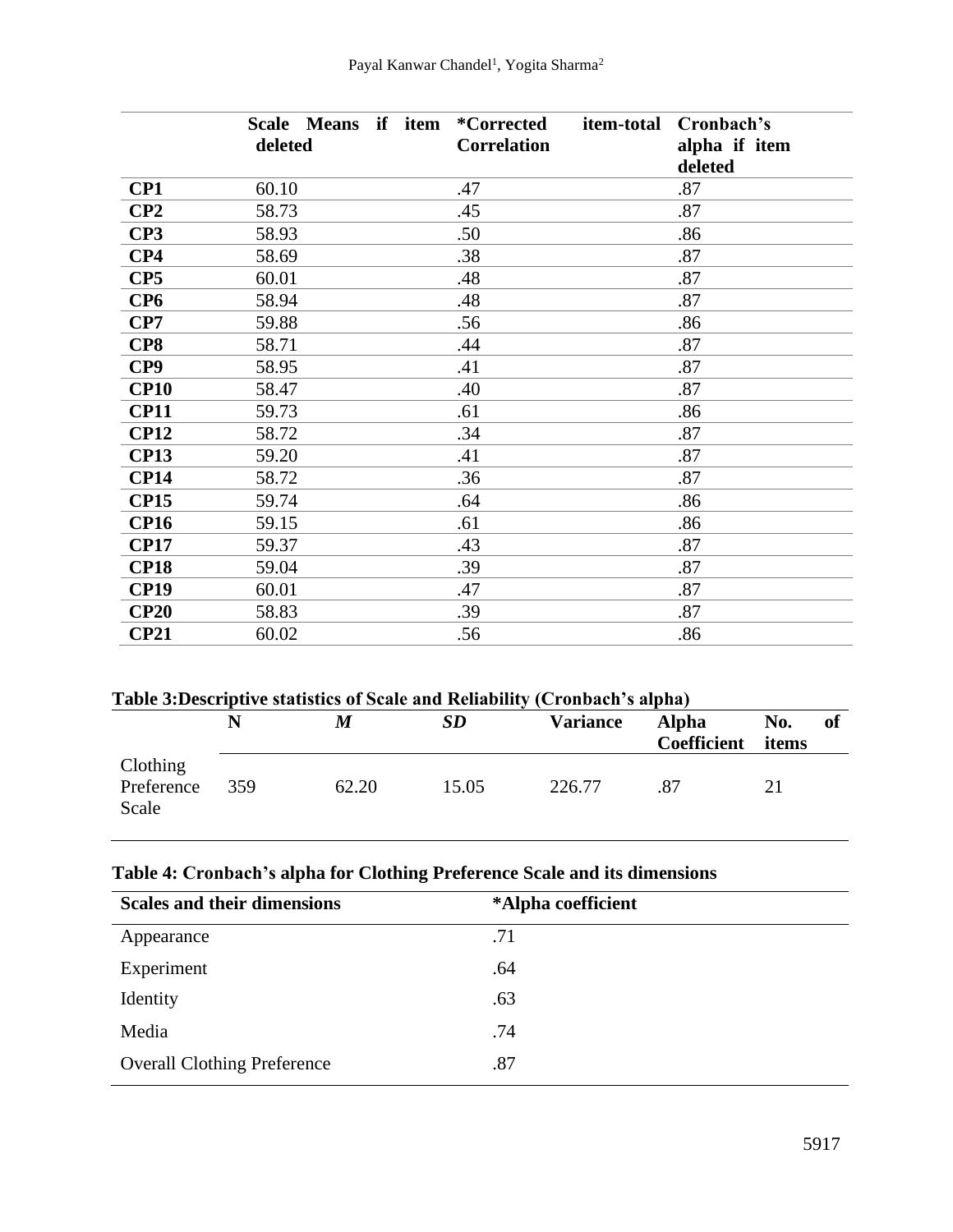|                 | Scale Means if item | <i>*Corrected</i>  | item-total<br>Cronbach's |
|-----------------|---------------------|--------------------|--------------------------|
|                 | deleted             | <b>Correlation</b> | alpha if item            |
|                 |                     |                    | deleted                  |
| CP1             | 60.10               | .47                | .87                      |
| CP2             | 58.73               | .45                | .87                      |
| CP3             | 58.93               | .50                | .86                      |
| CP4             | 58.69               | .38                | .87                      |
| CP <sub>5</sub> | 60.01               | .48                | .87                      |
| CP <sub>6</sub> | 58.94               | .48                | .87                      |
| CP7             | 59.88               | .56                | .86                      |
| CP8             | 58.71               | .44                | .87                      |
| CP9             | 58.95               | .41                | .87                      |
| <b>CP10</b>     | 58.47               | .40                | .87                      |
| <b>CP11</b>     | 59.73               | .61                | .86                      |
| <b>CP12</b>     | 58.72               | .34                | .87                      |
| <b>CP13</b>     | 59.20               | .41                | .87                      |
| <b>CP14</b>     | 58.72               | .36                | .87                      |
| <b>CP15</b>     | 59.74               | .64                | .86                      |
| <b>CP16</b>     | 59.15               | .61                | .86                      |
| <b>CP17</b>     | 59.37               | .43                | .87                      |
| <b>CP18</b>     | 59.04               | .39                | .87                      |
| <b>CP19</b>     | 60.01               | .47                | .87                      |
| <b>CP20</b>     | 58.83               | .39                | .87                      |
| <b>CP21</b>     | 60.02               | .56                | .86                      |

| Table 3: Descriptive statistics of Scale and Reliability (Cronbach's alpha) |     |       |           |                 |                                    |              |     |  |
|-----------------------------------------------------------------------------|-----|-------|-----------|-----------------|------------------------------------|--------------|-----|--|
|                                                                             | N   | M     | <b>SD</b> | <b>Variance</b> | <b>Alpha</b><br><b>Coefficient</b> | No.<br>items | -of |  |
| Clothing<br>Preference<br>Scale                                             | 359 | 62.20 | 15.05     | 226.77          | -87                                | 21           |     |  |

# **Table 4: Cronbach's alpha for Clothing Preference Scale and its dimensions**

| <b>Scales and their dimensions</b> | *Alpha coefficient |
|------------------------------------|--------------------|
| Appearance                         | .71                |
| Experiment                         | .64                |
| Identity                           | .63                |
| Media                              | .74                |
| <b>Overall Clothing Preference</b> | .87                |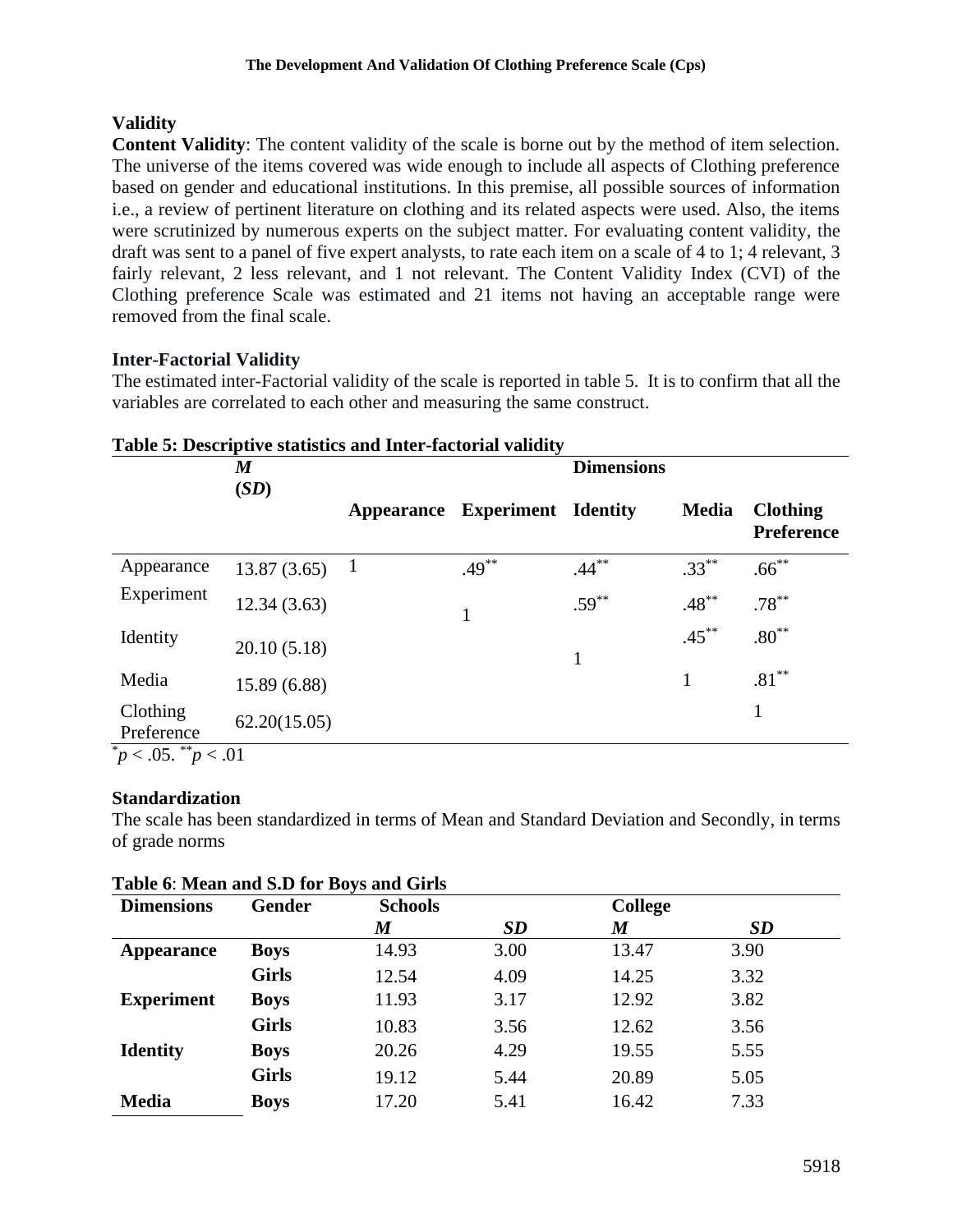# **Validity**

**Content Validity**: The content validity of the scale is borne out by the method of item selection. The universe of the items covered was wide enough to include all aspects of Clothing preference based on gender and educational institutions. In this premise, all possible sources of information i.e., a review of pertinent literature on clothing and its related aspects were used. Also, the items were scrutinized by numerous experts on the subject matter. For evaluating content validity, the draft was sent to a panel of five expert analysts, to rate each item on a scale of 4 to 1; 4 relevant, 3 fairly relevant, 2 less relevant, and 1 not relevant. The Content Validity Index (CVI) of the Clothing preference Scale was estimated and 21 items not having an acceptable range were removed from the final scale.

# **Inter-Factorial Validity**

The estimated inter-Factorial validity of the scale is reported in table 5. It is to confirm that all the variables are correlated to each other and measuring the same construct.

|                                   | $\boldsymbol{M}$ |              |                            | <b>Dimensions</b> |              |                               |
|-----------------------------------|------------------|--------------|----------------------------|-------------------|--------------|-------------------------------|
|                                   | (SD)             | Appearance   | <b>Experiment Identity</b> |                   | <b>Media</b> | <b>Clothing</b><br>Preference |
| Appearance                        | 13.87(3.65)      | $\mathbf{1}$ | $.49***$                   | $.44***$          | $.33***$     | $.66***$                      |
| Experiment                        | 12.34(3.63)      |              |                            | $.59***$          | $.48***$     | $.78***$                      |
| Identity                          | 20.10(5.18)      |              |                            | 1                 | $.45***$     | $.80***$                      |
| Media                             | 15.89 (6.88)     |              |                            |                   | 1            | $.81***$                      |
| Clothing<br>Preference            | 62.20(15.05)     |              |                            |                   |              |                               |
| $\frac{1}{p} < .05.$ ** $p < .01$ |                  |              |                            |                   |              |                               |

# **Table 5: Descriptive statistics and Inter-factorial validity**

## **Standardization**

The scale has been standardized in terms of Mean and Standard Deviation and Secondly, in terms of grade norms

| <b>Dimensions</b> | Gender       | <b>Schools</b>   |           | <b>College</b>   |           |
|-------------------|--------------|------------------|-----------|------------------|-----------|
|                   |              | $\boldsymbol{M}$ | <b>SD</b> | $\boldsymbol{M}$ | <b>SD</b> |
| Appearance        | <b>Boys</b>  | 14.93            | 3.00      | 13.47            | 3.90      |
|                   | <b>Girls</b> | 12.54            | 4.09      | 14.25            | 3.32      |
| <b>Experiment</b> | <b>Boys</b>  | 11.93            | 3.17      | 12.92            | 3.82      |
|                   | <b>Girls</b> | 10.83            | 3.56      | 12.62            | 3.56      |
| <b>Identity</b>   | <b>Boys</b>  | 20.26            | 4.29      | 19.55            | 5.55      |
|                   | <b>Girls</b> | 19.12            | 5.44      | 20.89            | 5.05      |
| <b>Media</b>      | <b>Boys</b>  | 17.20            | 5.41      | 16.42            | 7.33      |

## **Table 6**: **Mean and S.D for Boys and Girls**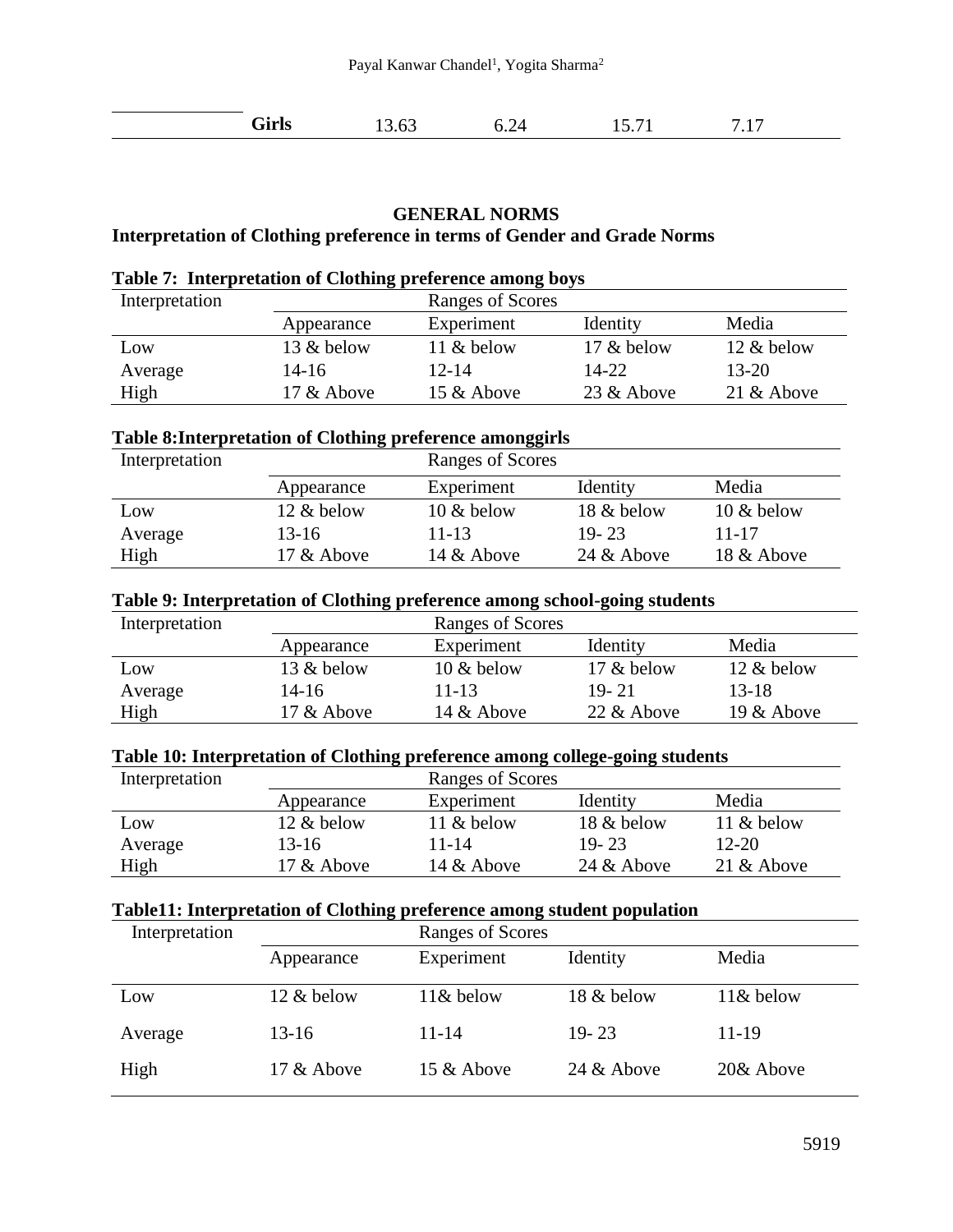| Girls | 13.63 | 6.24 | 15.71 | 1 <sub>7</sub><br>.11 |  |
|-------|-------|------|-------|-----------------------|--|
|-------|-------|------|-------|-----------------------|--|

# **GENERAL NORMS**

# **Interpretation of Clothing preference in terms of Gender and Grade Norms**

| Table 7: Interpretation of Clothing preference among boys |            |                  |            |            |  |
|-----------------------------------------------------------|------------|------------------|------------|------------|--|
| Interpretation                                            |            | Ranges of Scores |            |            |  |
|                                                           | Appearance | Experiment       | Identity   | Media      |  |
| Low                                                       | 13 & below | 11 & below       | 17 & below | 12 & below |  |
| Average                                                   | 14-16      | $12 - 14$        | 14-22      | $13 - 20$  |  |
| High                                                      | 17 & Above | 15 & Above       | 23 & Above | 21 & Above |  |

# **Table 8:Interpretation of Clothing preference amonggirls**

| Interpretation |               | Ranges of Scores |               |               |
|----------------|---------------|------------------|---------------|---------------|
|                | Appearance    | Experiment       | Identity      | Media         |
| Low            | 12 & below    | $10 \&$ below    | 18 & below    | $10 \&$ below |
| Average        | 13-16         | 11-13            | $19 - 23$     | 11-17         |
| High           | $17 \&$ Above | 14 $\&$ Above    | 24 $\&$ Above | 18 & Above    |

#### **Table 9: Interpretation of Clothing preference among school-going students**

| Interpretation |               | Ranges of Scores |               |               |
|----------------|---------------|------------------|---------------|---------------|
|                | Appearance    | Experiment       | Identity      | Media         |
| Low            | 13 $\&$ below | $10 \&$ below    | $17 \&$ below | $12 \&$ below |
| Average        | 14-16         | 11-13            | $19 - 21$     | 13-18         |
| High           | $17 \&$ Above | 14 $\&$ Above    | $22 \&$ Above | 19 $&$ Above  |

# **Table 10: Interpretation of Clothing preference among college-going students**

| Interpretation |            | Ranges of Scores |               |               |
|----------------|------------|------------------|---------------|---------------|
|                | Appearance | Experiment       | Identity      | Media         |
| Low            | 12 & below | 11 & below       | 18 & below    | 11 & below    |
| Average        | 13-16      | 11-14            | $19 - 23$     | $12 - 20$     |
| High           | 17 & Above | 14 $\&$ Above    | 24 $\&$ Above | 21 $\&$ Above |

# **Table11: Interpretation of Clothing preference among student population**

| Interpretation |            | Ranges of Scores |            |             |
|----------------|------------|------------------|------------|-------------|
|                | Appearance | Experiment       | Identity   | Media       |
| Low            | 12 & below | $11&$ below      | 18 & below | $11&$ below |
| Average        | $13-16$    | 11-14            | $19 - 23$  | 11-19       |
| High           | 17 & Above | 15 & Above       | 24 & Above | 20& Above   |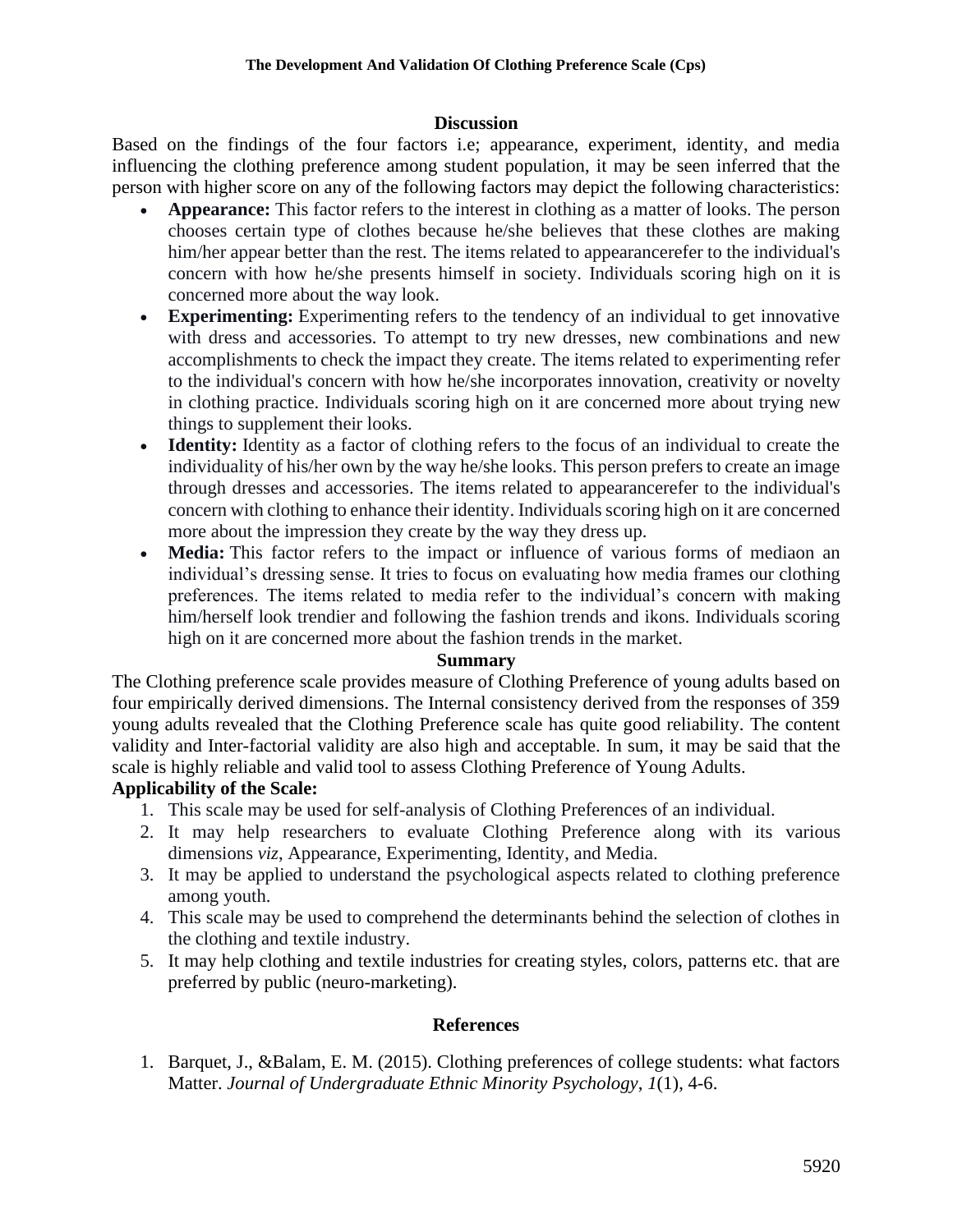#### **Discussion**

Based on the findings of the four factors i.e; appearance, experiment, identity, and media influencing the clothing preference among student population, it may be seen inferred that the person with higher score on any of the following factors may depict the following characteristics:

- **Appearance:** This factor refers to the interest in clothing as a matter of looks. The person chooses certain type of clothes because he/she believes that these clothes are making him/her appear better than the rest. The items related to appearancerefer to the individual's concern with how he/she presents himself in society. Individuals scoring high on it is concerned more about the way look.
- **Experimenting:** Experimenting refers to the tendency of an individual to get innovative with dress and accessories. To attempt to try new dresses, new combinations and new accomplishments to check the impact they create. The items related to experimenting refer to the individual's concern with how he/she incorporates innovation, creativity or novelty in clothing practice. Individuals scoring high on it are concerned more about trying new things to supplement their looks.
- **Identity:** Identity as a factor of clothing refers to the focus of an individual to create the individuality of his/her own by the way he/she looks. This person prefers to create an image through dresses and accessories. The items related to appearancerefer to the individual's concern with clothing to enhance their identity. Individuals scoring high on it are concerned more about the impression they create by the way they dress up.
- **Media:** This factor refers to the impact or influence of various forms of mediaon an individual's dressing sense. It tries to focus on evaluating how media frames our clothing preferences. The items related to media refer to the individual's concern with making him/herself look trendier and following the fashion trends and ikons. Individuals scoring high on it are concerned more about the fashion trends in the market.

#### **Summary**

The Clothing preference scale provides measure of Clothing Preference of young adults based on four empirically derived dimensions. The Internal consistency derived from the responses of 359 young adults revealed that the Clothing Preference scale has quite good reliability. The content validity and Inter-factorial validity are also high and acceptable. In sum, it may be said that the scale is highly reliable and valid tool to assess Clothing Preference of Young Adults.

## **Applicability of the Scale:**

- 1. This scale may be used for self-analysis of Clothing Preferences of an individual.
- 2. It may help researchers to evaluate Clothing Preference along with its various dimensions *viz*, Appearance, Experimenting, Identity, and Media.
- 3. It may be applied to understand the psychological aspects related to clothing preference among youth.
- 4. This scale may be used to comprehend the determinants behind the selection of clothes in the clothing and textile industry.
- 5. It may help clothing and textile industries for creating styles, colors, patterns etc. that are preferred by public (neuro-marketing).

## **References**

1. Barquet, J., &Balam, E. M. (2015). Clothing preferences of college students: what factors Matter. *Journal of Undergraduate Ethnic Minority Psychology*, *1*(1), 4-6.